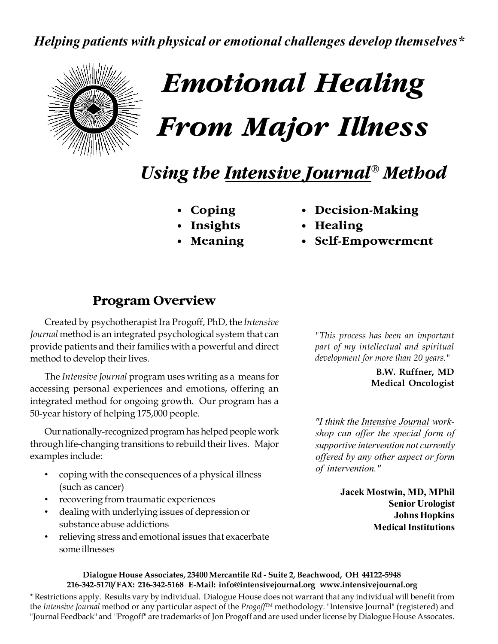*Helping patients with physical or emotional challenges develop themselves\**



# *Emotional Healing From Major Illness*

# *Using the Intensive Journal® Method*

- 
- 
- 
- **• Coping • Decision-Making**
- **• Insights • Healing**
- **• Meaning • Self-Empowerment**

# **Program Overview**

Created by psychotherapist Ira Progoff, PhD, the *Intensive Journal* method is an integrated psychological system that can provide patients and their families with a powerful and direct method to develop their lives.

The *Intensive Journal* program uses writing as a means for accessing personal experiences and emotions, offering an integrated method for ongoing growth. Our program has a 50-year history of helping 175,000 people.

Our nationally-recognized program has helped people work through life-changing transitions to rebuild their lives. Major examples include:

- coping with the consequences of a physical illness (such as cancer)
- recovering from traumatic experiences
- dealing with underlying issues of depression or substance abuse addictions
- relieving stress and emotional issues that exacerbate some illnesses

*"This process has been an important part of my intellectual and spiritual development for more than 20 years."*

> **B.W. Ruffner, MD Medical Oncologist**

*"I think the Intensive Journal workshop can offer the special form of supportive intervention not currently offered by any other aspect or form of intervention."*

> **Jacek Mostwin, MD, MPhil Senior Urologist Johns Hopkins Medical Institutions**

#### **Dialogue House Associates, 23400 Mercantile Rd - Suite 2, Beachwood, OH 44122-5948 216-342-5170/ FAX: 216-342-5168 E-Mail: info@intensivejournal.org www.intensivejournal.org**

\* Restrictions apply. Results vary by individual. Dialogue House does not warrant that any individual will benefit from the *Intensive Journal* method or any particular aspect of the *Progoff*<sup>™</sup> methodology. "Intensive Journal" (registered) and "Journal Feedback" and "Progoff" are trademarks of Jon Progoff and are used under license by Dialogue House Assocates.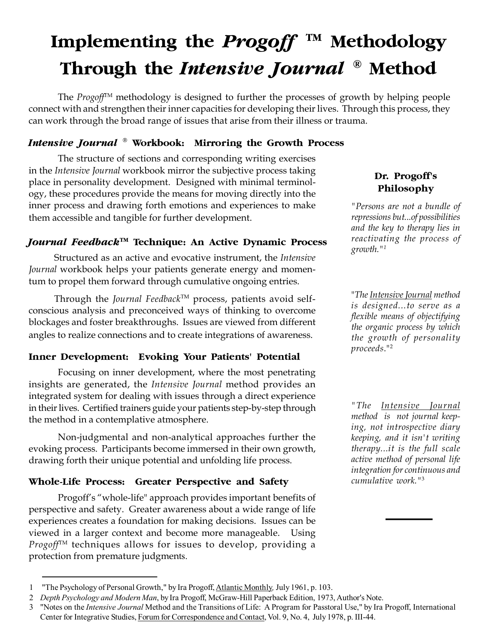# **Implementing the** *Progoff* **TM Methodology Through the** *Intensive Journal* **® Method**

The *Progoff*TM methodology is designed to further the processes of growth by helping people connect with and strengthen their inner capacities for developing their lives. Through this process, they can work through the broad range of issues that arise from their illness or trauma.

#### *Intensive Journal* **® Workbook: Mirroring the Growth Process**

The structure of sections and corresponding writing exercises in the *Intensive Journal* workbook mirror the subjective process taking place in personality development. Designed with minimal terminology, these procedures provide the means for moving directly into the inner process and drawing forth emotions and experiences to make them accessible and tangible for further development.

#### *Journal Feedback***TM Technique: An Active Dynamic Process**

Structured as an active and evocative instrument, the *Intensive Journal* workbook helps your patients generate energy and momentum to propel them forward through cumulative ongoing entries.

Through the *Journal Feedback*TM process, patients avoid selfconscious analysis and preconceived ways of thinking to overcome blockages and foster breakthroughs. Issues are viewed from different angles to realize connections and to create integrations of awareness.

#### **Inner Development: Evoking Your Patients' Potential**

Focusing on inner development, where the most penetrating insights are generated, the *Intensive Journal* method provides an integrated system for dealing with issues through a direct experience in their lives. Certified trainers guide your patients step-by-step through the method in a contemplative atmosphere.

Non-judgmental and non-analytical approaches further the evoking process. Participants become immersed in their own growth, drawing forth their unique potential and unfolding life process.

#### **Whole-Life Process: Greater Perspective and Safety**

Progoff's "whole-life" approach provides important benefits of perspective and safety. Greater awareness about a wide range of life experiences creates a foundation for making decisions. Issues can be viewed in a larger context and become more manageable. Using *Progoff*TM techniques allows for issues to develop, providing a protection from premature judgments.

#### 3 "Notes on the *Intensive Journal* Method and the Transitions of Life: A Program for Passtoral Use," by Ira Progoff, International

### **Dr. Progoff's Philosophy**

*"Persons are not a bundle of repressions but...of possibilities and the key to therapy lies in reactivating the process of growth."<sup>1</sup>*

"*The Intensive Journal method is designed...to serve as a flexible means of objectifying the organic process by which the growth of personality proceeds*."<sup>2</sup>

*"The Intensive Journal method is not journal keeping, not introspective diary keeping, and it isn't writing therapy...it is the full scale active method of personal life integration for continuous and cumulative work."*<sup>3</sup>

<sup>1</sup> "The Psychology of Personal Growth," by Ira Progoff, Atlantic Monthly*,* July 1961, p. 103.

<sup>2</sup> *Depth Psychology and Modern Man*, by Ira Progoff, McGraw-Hill Paperback Edition, 1973, Author's Note.

Center for Integrative Studies, Forum for Correspondence and Contact, Vol. 9, No. 4, July 1978, p. III-44.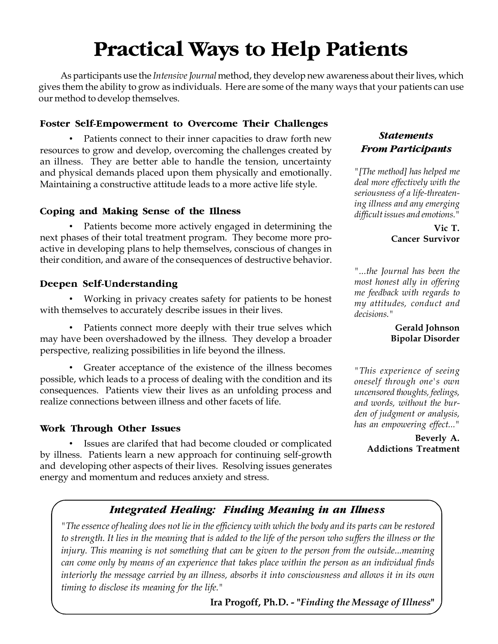# **Practical Ways to Help Patients**

As participants use the *Intensive Journal* method, they develop new awareness about their lives, which gives them the ability to grow as individuals. Here are some of the many ways that your patients can use our method to develop themselves.

#### **Foster Self-Empowerment to Overcome Their Challenges**

Patients connect to their inner capacities to draw forth new resources to grow and develop, overcoming the challenges created by an illness. They are better able to handle the tension, uncertainty and physical demands placed upon them physically and emotionally. Maintaining a constructive attitude leads to a more active life style.

#### **Coping and Making Sense of the Illness**

Patients become more actively engaged in determining the next phases of their total treatment program. They become more proactive in developing plans to help themselves, conscious of changes in their condition, and aware of the consequences of destructive behavior.

#### **Deepen Self-Understanding**

• Working in privacy creates safety for patients to be honest with themselves to accurately describe issues in their lives.

• Patients connect more deeply with their true selves which may have been overshadowed by the illness. They develop a broader perspective, realizing possibilities in life beyond the illness.

Greater acceptance of the existence of the illness becomes possible, which leads to a process of dealing with the condition and its consequences. Patients view their lives as an unfolding process and realize connections between illness and other facets of life.

#### **Work Through Other Issues**

• Issues are clarifed that had become clouded or complicated by illness. Patients learn a new approach for continuing self-growth and developing other aspects of their lives. Resolving issues generates energy and momentum and reduces anxiety and stress.

#### *Statements From Participants*

*"[The method] has helped me deal more effectively with the seriousness of a life-threatening illness and any emerging difficult issues and emotions."*

> **Vic T. Cancer Survivor**

*"...the Journal has been the most honest ally in offering me feedback with regards to my attitudes, conduct and decisions."*

#### **Gerald Johnson Bipolar Disorder**

*"This experience of seeing oneself through one's own uncensored thoughts, feelings, and words, without the burden of judgment or analysis, has an empowering effect..."*

> **Beverly A. Addictions Treatment**

### *Integrated Healing: Finding Meaning in an Illness*

*"The essence of healing does not lie in the efficiency with which the body and its parts can be restored to strength. It lies in the meaning that is added to the life of the person who suffers the illness or the injury. This meaning is not something that can be given to the person from the outside...meaning can come only by means of an experience that takes place within the person as an individual finds interiorly the message carried by an illness, absorbs it into consciousness and allows it in its own timing to disclose its meaning for the life."*

**Ira Progoff, Ph.D. - "***Finding the Message of Illness***"**